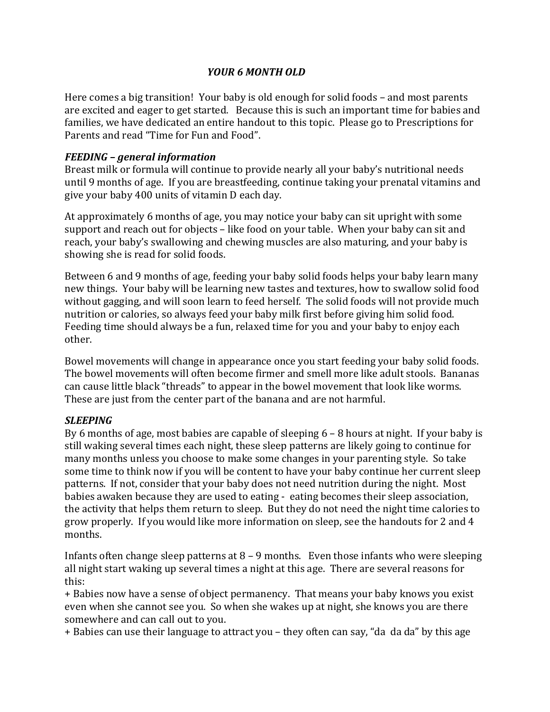# *YOUR 6 MONTH OLD*

Here comes a big transition! Your baby is old enough for solid foods – and most parents are excited and eager to get started. Because this is such an important time for babies and families, we have dedicated an entire handout to this topic. Please go to Prescriptions for Parents and read "Time for Fun and Food".

# *FEEDING – general information*

Breast milk or formula will continue to provide nearly all your baby's nutritional needs until 9 months of age. If you are breastfeeding, continue taking your prenatal vitamins and give your baby 400 units of vitamin D each day.

At approximately 6 months of age, you may notice your baby can sit upright with some support and reach out for objects – like food on your table. When your baby can sit and reach, your baby's swallowing and chewing muscles are also maturing, and your baby is showing she is read for solid foods.

Between 6 and 9 months of age, feeding your baby solid foods helps your baby learn many new things. Your baby will be learning new tastes and textures, how to swallow solid food without gagging, and will soon learn to feed herself. The solid foods will not provide much nutrition or calories, so always feed your baby milk first before giving him solid food. Feeding time should always be a fun, relaxed time for you and your baby to enjoy each other. 

Bowel movements will change in appearance once you start feeding your baby solid foods. The bowel movements will often become firmer and smell more like adult stools. Bananas can cause little black "threads" to appear in the bowel movement that look like worms. These are just from the center part of the banana and are not harmful.

# *SLEEPING*

By 6 months of age, most babies are capable of sleeping  $6 - 8$  hours at night. If your baby is still waking several times each night, these sleep patterns are likely going to continue for many months unless you choose to make some changes in your parenting style. So take some time to think now if you will be content to have your baby continue her current sleep patterns. If not, consider that your baby does not need nutrition during the night. Most babies awaken because they are used to eating - eating becomes their sleep association, the activity that helps them return to sleep. But they do not need the night time calories to grow properly. If you would like more information on sleep, see the handouts for 2 and 4 months.

Infants often change sleep patterns at  $8 - 9$  months. Even those infants who were sleeping all night start waking up several times a night at this age. There are several reasons for this:

+ Babies now have a sense of object permanency. That means your baby knows you exist even when she cannot see you. So when she wakes up at night, she knows you are there somewhere and can call out to you.

+ Babies can use their language to attract you – they often can say, "da da da" by this age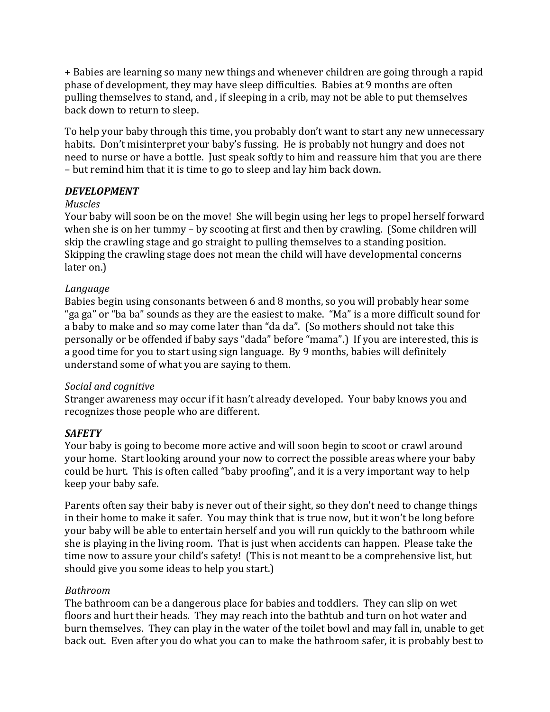+ Babies are learning so many new things and whenever children are going through a rapid phase of development, they may have sleep difficulties. Babies at 9 months are often pulling themselves to stand, and, if sleeping in a crib, may not be able to put themselves back down to return to sleep.

To help your baby through this time, you probably don't want to start any new unnecessary habits. Don't misinterpret your baby's fussing. He is probably not hungry and does not need to nurse or have a bottle. Just speak softly to him and reassure him that you are there – but remind him that it is time to go to sleep and lay him back down.

# *DEVELOPMENT*

# *Muscles*

Your baby will soon be on the move! She will begin using her legs to propel herself forward when she is on her tummy – by scooting at first and then by crawling. (Some children will skip the crawling stage and go straight to pulling themselves to a standing position. Skipping the crawling stage does not mean the child will have developmental concerns later on.)

# *Language*

Babies begin using consonants between 6 and 8 months, so you will probably hear some "ga ga" or "ba ba" sounds as they are the easiest to make. "Ma" is a more difficult sound for a baby to make and so may come later than "da da". (So mothers should not take this personally or be offended if baby says "dada" before "mama".) If you are interested, this is a good time for you to start using sign language. By 9 months, babies will definitely understand some of what you are saying to them.

# *Social and cognitive*

Stranger awareness may occur if it hasn't already developed. Your baby knows you and recognizes those people who are different.

# *SAFETY*

Your baby is going to become more active and will soon begin to scoot or crawl around your home. Start looking around your now to correct the possible areas where your baby could be hurt. This is often called "baby proofing", and it is a very important way to help keep your baby safe.

Parents often say their baby is never out of their sight, so they don't need to change things in their home to make it safer. You may think that is true now, but it won't be long before your baby will be able to entertain herself and you will run quickly to the bathroom while she is playing in the living room. That is just when accidents can happen. Please take the time now to assure your child's safety! (This is not meant to be a comprehensive list, but should give you some ideas to help you start.)

# *Bathroom*

The bathroom can be a dangerous place for babies and toddlers. They can slip on wet floors and hurt their heads. They may reach into the bathtub and turn on hot water and burn themselves. They can play in the water of the toilet bowl and may fall in, unable to get back out. Even after you do what you can to make the bathroom safer, it is probably best to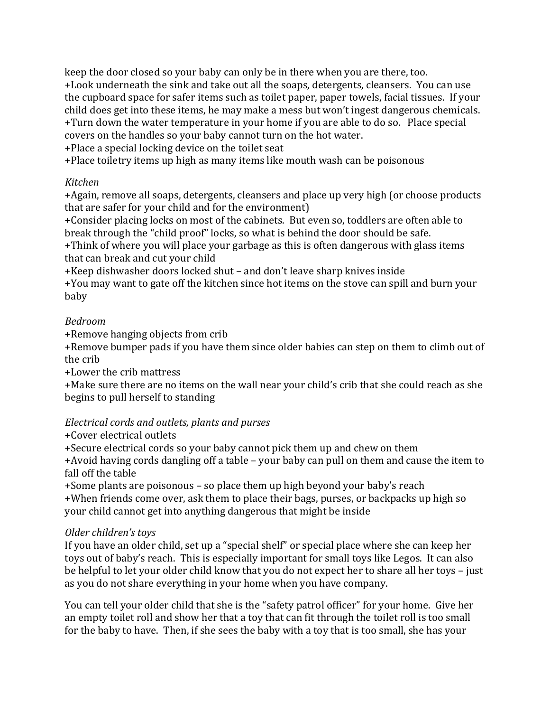keep the door closed so your baby can only be in there when you are there, too. +Look underneath the sink and take out all the soaps, detergents, cleansers. You can use the cupboard space for safer items such as toilet paper, paper towels, facial tissues. If your child does get into these items, he may make a mess but won't ingest dangerous chemicals. +Turn down the water temperature in your home if you are able to do so. Place special covers on the handles so your baby cannot turn on the hot water.

+Place a special locking device on the toilet seat

+Place toiletry items up high as many items like mouth wash can be poisonous

# *Kitchen*

+Again, remove all soaps, detergents, cleansers and place up very high (or choose products that are safer for your child and for the environment)

+Consider placing locks on most of the cabinets. But even so, toddlers are often able to break through the "child proof" locks, so what is behind the door should be safe.

+Think of where you will place your garbage as this is often dangerous with glass items that can break and cut your child

+Keep dishwasher doors locked shut – and don't leave sharp knives inside

+You may want to gate off the kitchen since hot items on the stove can spill and burn your baby

# *Bedroom*

+Remove hanging objects from crib

+Remove bumper pads if you have them since older babies can step on them to climb out of the crib

+Lower the crib mattress

+Make sure there are no items on the wall near your child's crib that she could reach as she begins to pull herself to standing

# *Electrical cords and outlets, plants and purses*

# +Cover electrical outlets

+Secure electrical cords so your baby cannot pick them up and chew on them  $+$ Avoid having cords dangling off a table – your baby can pull on them and cause the item to fall off the table

+Some plants are poisonous – so place them up high beyond your baby's reach +When friends come over, ask them to place their bags, purses, or backpacks up high so your child cannot get into anything dangerous that might be inside

# *Older children's toys*

If you have an older child, set up a "special shelf" or special place where she can keep her toys out of baby's reach. This is especially important for small toys like Legos. It can also be helpful to let your older child know that you do not expect her to share all her toys – just as you do not share everything in your home when you have company.

You can tell your older child that she is the "safety patrol officer" for your home. Give her an empty toilet roll and show her that a toy that can fit through the toilet roll is too small for the baby to have. Then, if she sees the baby with a toy that is too small, she has your